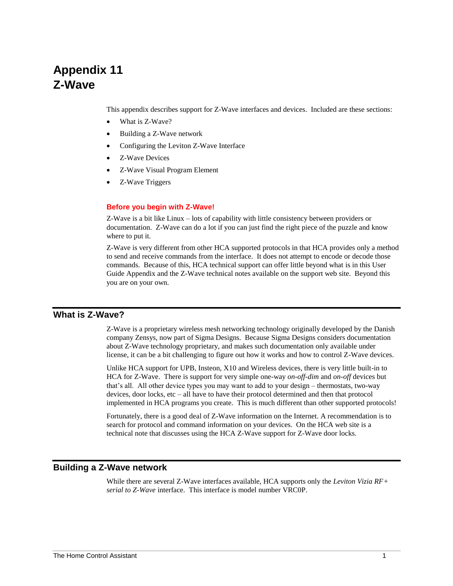# **Appendix 11 Z-Wave**

This appendix describes support for Z-Wave interfaces and devices. Included are these sections:

- What is Z-Wave?
- Building a Z-Wave network
- Configuring the Leviton Z-Wave Interface
- Z-Wave Devices
- Z-Wave Visual Program Element
- Z-Wave Triggers

#### **Before you begin with Z-Wave!**

Z-Wave is a bit like Linux – lots of capability with little consistency between providers or documentation. Z-Wave can do a lot if you can just find the right piece of the puzzle and know where to put it.

Z-Wave is very different from other HCA supported protocols in that HCA provides only a method to send and receive commands from the interface. It does not attempt to encode or decode those commands. Because of this, HCA technical support can offer little beyond what is in this User Guide Appendix and the Z-Wave technical notes available on the support web site. Beyond this you are on your own.

## **What is Z-Wave?**

Z-Wave is a proprietary wireless mesh networking technology originally developed by the Danish company Zensys, now part of Sigma Designs. Because Sigma Designs considers documentation about Z-Wave technology proprietary, and makes such documentation only available under license, it can be a bit challenging to figure out how it works and how to control Z-Wave devices.

Unlike HCA support for UPB, Insteon, X10 and Wireless devices, there is very little built-in to HCA for Z-Wave. There is support for very simple one-way *on-off-dim* and *on-off* devices but that's all. All other device types you may want to add to your design – thermostats, two-way devices, door locks, etc – all have to have their protocol determined and then that protocol implemented in HCA programs you create. This is much different than other supported protocols!

Fortunately, there is a good deal of Z-Wave information on the Internet. A recommendation is to search for protocol and command information on your devices. On the HCA web site is a technical note that discusses using the HCA Z-Wave support for Z-Wave door locks.

### **Building a Z-Wave network**

While there are several Z-Wave interfaces available, HCA supports only the *Leviton Vizia RF+ serial to Z-Wave* interface. This interface is model number VRC0P.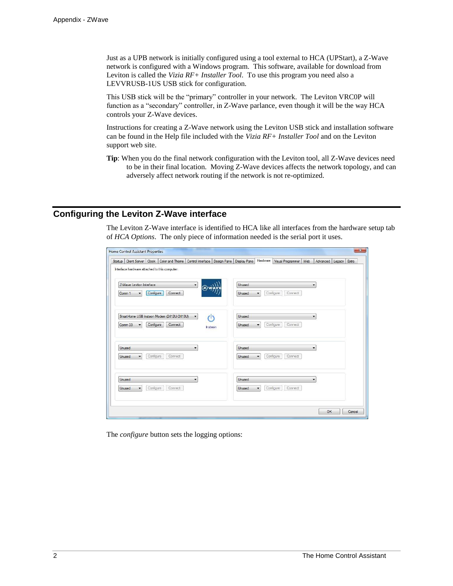Just as a UPB network is initially configured using a tool external to HCA (UPStart), a Z-Wave network is configured with a Windows program. This software, available for download from Leviton is called the *Vizia RF+ Installer Tool*. To use this program you need also a LEVVRUSB-1US USB stick for configuration.

This USB stick will be the "primary" controller in your network. The Leviton VRC0P will function as a "secondary" controller, in Z-Wave parlance, even though it will be the way HCA controls your Z-Wave devices.

Instructions for creating a Z-Wave network using the Leviton USB stick and installation software can be found in the Help file included with the *Vizia RF+ Installer Tool* and on the Leviton support web site.

**Tip**: When you do the final network configuration with the Leviton tool, all Z-Wave devices need to be in their final location. Moving Z-Wave devices affects the network topology, and can adversely affect network routing if the network is not re-optimized.

## **Configuring the Leviton Z-Wave interface**

The Leviton Z-Wave interface is identified to HCA like all interfaces from the hardware setup tab of *HCA Options*. The only piece of information needed is the serial port it uses.

| Startup           | Client Server Clock             |           | Color and Theme                               | Control Interface                      | Design Pane | Display Pane  | Hardware             | Visual Programmer    | Web                      | Advanced | Legacy | Extra |
|-------------------|---------------------------------|-----------|-----------------------------------------------|----------------------------------------|-------------|---------------|----------------------|----------------------|--------------------------|----------|--------|-------|
|                   |                                 |           | Interface hardware attached to this computer: |                                        |             |               |                      |                      |                          |          |        |       |
|                   | Z-Wave Leviton Interface        |           |                                               | $\overline{\phantom{a}}$               |             | Unused        |                      |                      | ٠                        |          |        |       |
| Comm <sub>1</sub> | $\overline{\phantom{a}}$        | Configure | Connect                                       |                                        |             | <b>Unused</b> | ٠                    | Configure<br>Connect |                          |          |        |       |
|                   |                                 |           | SmartHome USB Insteon Modem (2412U/2413U)     | $\overline{\phantom{a}}$<br>$\sqrt{2}$ |             | <b>Unused</b> |                      |                      | $\overline{\phantom{a}}$ |          |        |       |
|                   | Comm 33<br>$\blacktriangledown$ | Configure | Connect                                       | Instean                                |             | <b>Unused</b> | $\blacktriangledown$ | Configure<br>Connect |                          |          |        |       |
| Unused            |                                 |           |                                               | $\overline{\phantom{a}}$               |             | <b>Unused</b> |                      |                      | $\overline{\phantom{0}}$ |          |        |       |
| Unused            | $\overline{\phantom{a}}$        | Configure | Connect                                       |                                        |             | Unused        | ٠                    | Configure<br>Connect |                          |          |        |       |
| Unused            |                                 |           |                                               | ۰                                      |             | <b>Unused</b> |                      |                      | $\overline{\phantom{a}}$ |          |        |       |
| Unused            | $\overline{\phantom{a}}$        | Configure | Connect                                       |                                        |             | <b>Unused</b> | ٠                    | Configure<br>Connect |                          |          |        |       |
|                   |                                 |           |                                               |                                        |             |               |                      |                      |                          |          |        |       |

The *configure* button sets the logging options: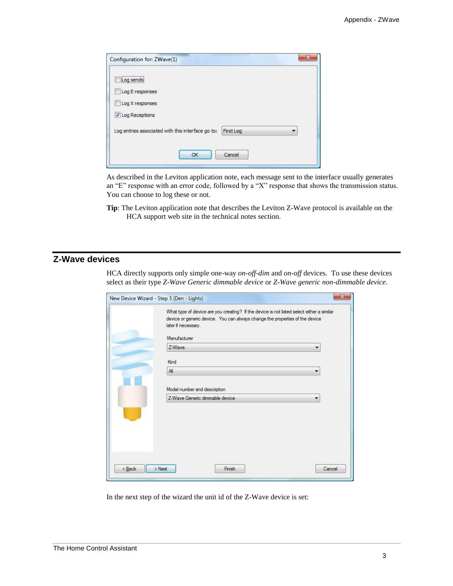| Configuration for: ZWave(1)                                    |  |
|----------------------------------------------------------------|--|
| <br>Log sends                                                  |  |
| Log E responses                                                |  |
| Log X responses                                                |  |
| ✔ Log Receptions                                               |  |
| Log entries associated with this interface go to:<br>First Log |  |
| Cancel<br>OK                                                   |  |

As described in the Leviton application note, each message sent to the interface usually generates an "E" response with an error code, followed by a "X" response that shows the transmission status. You can choose to log these or not.

**Tip**: The Leviton application note that describes the Leviton Z-Wave protocol is available on the HCA support web site in the technical notes section.

## **Z-Wave devices**

HCA directly supports only simple one-way *on-off-dim* and *on-off* devices. To use these devices select as their type *Z-Wave Generic dimmable device* or *Z-Wave generic non-dimmable device*.

| What type of device are you creating? If the device is not listed select either a similar<br>device or generic device. You can always change the properties of the device |
|---------------------------------------------------------------------------------------------------------------------------------------------------------------------------|
|                                                                                                                                                                           |
|                                                                                                                                                                           |
|                                                                                                                                                                           |
|                                                                                                                                                                           |
|                                                                                                                                                                           |
|                                                                                                                                                                           |
|                                                                                                                                                                           |
|                                                                                                                                                                           |
|                                                                                                                                                                           |

In the next step of the wizard the unit id of the Z-Wave device is set: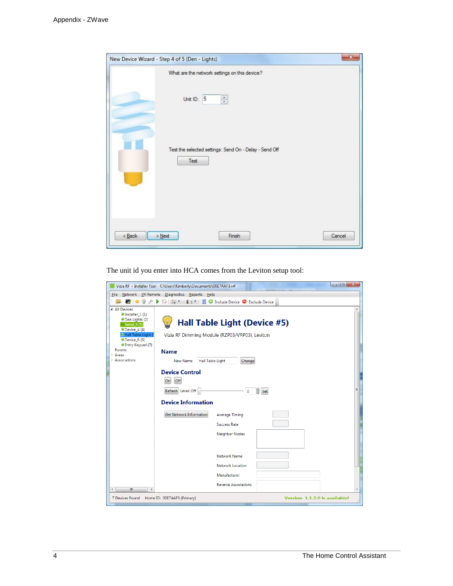| New Device Wizard - Step 4 of 5 (Den - Lights)                 | $\mathbf{x}$ |
|----------------------------------------------------------------|--------------|
| What are the network settings on this device?                  |              |
| $\frac{\mathbf{A}}{\mathbf{v}}$<br>Unit ID: 5                  |              |
| Test the selected settings: Send On - Delay - Send Off<br>Test |              |
| $\leq$ Back<br>Finish<br>$>$ Next                              | Cancel       |

The unit id you enter into HCA comes from the Leviton setup tool:

| Vizia RF + Installer Tool - C:\Users\Kimberly\Documents\00E7AAF3.vrf                                                                                                                                                                                                   | $\Box$ e<br>$-x$              |
|------------------------------------------------------------------------------------------------------------------------------------------------------------------------------------------------------------------------------------------------------------------------|-------------------------------|
| File Network VR Remote Diagnostics Reports Help                                                                                                                                                                                                                        |                               |
| EX ES +<br>1 1 2 C Include Device C Exclude Device                                                                                                                                                                                                                     |                               |
| ▲ All Devices<br>CInstaller_1(1)<br><b>ODen Lights (2)</b><br>Hall Table Light (Device #5)<br>Serial_3 (3)<br>Device 4(4)<br>Hall Table Light (<br>Vizia RF Dimming Module (RZP03/VRP03), Leviton<br>Device 6 (6)<br>Entry Keypad (7)<br>Rooms<br><b>Name</b><br>Areas |                               |
| Associations<br>New Name<br>Hall Table Light<br>Change                                                                                                                                                                                                                 |                               |
| <b>Device Control</b>                                                                                                                                                                                                                                                  |                               |
| Off<br>On                                                                                                                                                                                                                                                              |                               |
| S Set<br>Refresh Level: Off<br>$\mathbf 0$                                                                                                                                                                                                                             | Ξ                             |
| <b>Device Information</b>                                                                                                                                                                                                                                              |                               |
| <b>Get Network Information</b><br><b>Average Timing</b>                                                                                                                                                                                                                |                               |
| <b>Success Rate</b>                                                                                                                                                                                                                                                    |                               |
| Neighbor Nodes                                                                                                                                                                                                                                                         |                               |
|                                                                                                                                                                                                                                                                        |                               |
| Network Name                                                                                                                                                                                                                                                           |                               |
| Network Location                                                                                                                                                                                                                                                       |                               |
| Manufacturer                                                                                                                                                                                                                                                           |                               |
| <b>Reverse Associations</b><br>Ш<br>b.                                                                                                                                                                                                                                 |                               |
| 7 Devices Found Home ID: 00E7AAF3 (Primary)                                                                                                                                                                                                                            | Version 1.1.2.0 is available! |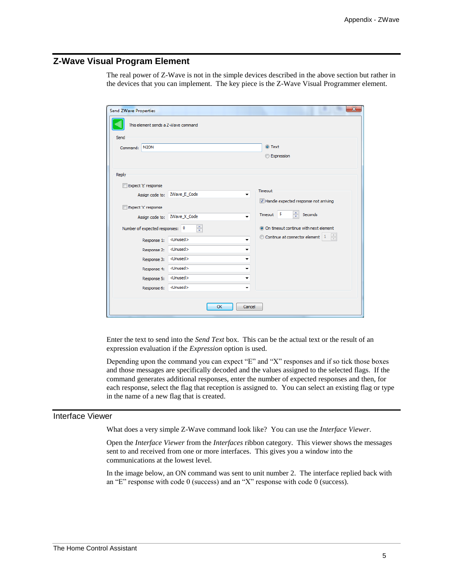## **Z-Wave Visual Program Element**

The real power of Z-Wave is not in the simple devices described in the above section but rather in the devices that you can implement. The key piece is the Z-Wave Visual Programmer element.

| $\mathbf{x}$<br><b>Send ZWave Properties</b> |                                 |                         |                                                                    |  |  |  |
|----------------------------------------------|---------------------------------|-------------------------|--------------------------------------------------------------------|--|--|--|
| This element sends a Z-Wave command          |                                 |                         |                                                                    |  |  |  |
| Send                                         |                                 |                         |                                                                    |  |  |  |
| Command:                                     | N <sub>2</sub> ON               |                         | O Text                                                             |  |  |  |
|                                              |                                 |                         | <b>Expression</b>                                                  |  |  |  |
|                                              |                                 |                         |                                                                    |  |  |  |
| Reply                                        |                                 |                         |                                                                    |  |  |  |
|                                              | Expect 'E' response             |                         |                                                                    |  |  |  |
|                                              | Assign code to:                 | ZWave_E_Code<br>▼       | Timeout                                                            |  |  |  |
|                                              |                                 |                         | V Handle expected response not arriving                            |  |  |  |
|                                              | Expect 'X' response             |                         | $\frac{1}{x}$<br>$\sqrt{5}$<br>Timeout<br>Seconds                  |  |  |  |
|                                              | Assign code to:                 | ZWave_X_Code<br>۰       |                                                                    |  |  |  |
|                                              | Number of expected responses: 0 | ÷                       | O On timeout continue with next element                            |  |  |  |
|                                              | Response 1:                     | <unused><br/>۰</unused> | $\frac{1}{\sqrt{2}}$<br>Continue at connector element<br>$\vert$ 1 |  |  |  |
|                                              | Response 2:                     | <unused><br/>٠</unused> |                                                                    |  |  |  |
|                                              | Response 3:                     | <unused><br/>▼</unused> |                                                                    |  |  |  |
|                                              | Response 4:                     | <unused><br/>۰</unused> |                                                                    |  |  |  |
|                                              | Response 5:                     | <unused><br/>٠</unused> |                                                                    |  |  |  |
|                                              | Response 6:                     | <unused><br/>۰</unused> |                                                                    |  |  |  |
|                                              |                                 |                         |                                                                    |  |  |  |
|                                              |                                 | OK<br>Cancel            |                                                                    |  |  |  |
|                                              |                                 |                         |                                                                    |  |  |  |

Enter the text to send into the *Send Text* box. This can be the actual text or the result of an expression evaluation if the *Expression* option is used.

Depending upon the command you can expect "E" and "X" responses and if so tick those boxes and those messages are specifically decoded and the values assigned to the selected flags. If the command generates additional responses, enter the number of expected responses and then, for each response, select the flag that reception is assigned to. You can select an existing flag or type in the name of a new flag that is created.

#### Interface Viewer

What does a very simple Z-Wave command look like? You can use the *Interface Viewer*.

Open the *Interface Viewer* from the *Interfaces* ribbon category. This viewer shows the messages sent to and received from one or more interfaces. This gives you a window into the communications at the lowest level.

In the image below, an ON command was sent to unit number 2. The interface replied back with an "E" response with code 0 (success) and an "X" response with code 0 (success).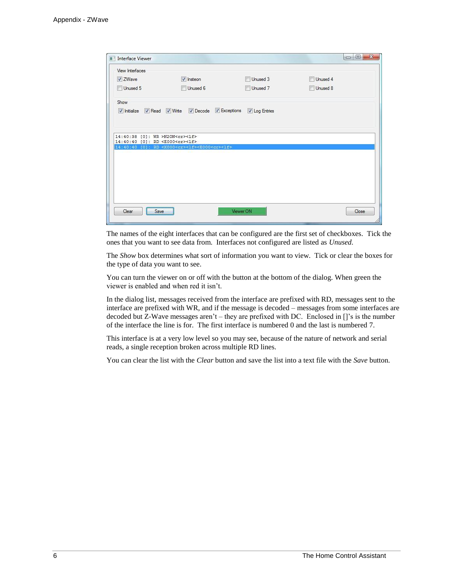| Interface Viewer                              |                                                                           |               | $=$ $\Box$ | $\mathbf{X}$ |
|-----------------------------------------------|---------------------------------------------------------------------------|---------------|------------|--------------|
| View Interfaces                               |                                                                           |               |            |              |
| V ZWave                                       | V Insteon                                                                 | Unused 3      | Unused 4   |              |
| Unused 5                                      | Unused 6                                                                  | Unused 7      | Unused 8   |              |
| Show                                          |                                                                           |               |            |              |
| V Initialize V Read V Write                   | Decode DExceptions                                                        | V Log Entries |            |              |
|                                               |                                                                           |               |            |              |
| 14:40:38 [0]: WR >N2ON <cr>&lt;1f&gt;</cr>    |                                                                           |               |            |              |
| 14:40:40 [0]: RD <e000<cr><lf></lf></e000<cr> |                                                                           |               |            |              |
|                                               | 14:40:40 [0]: RD <x000<cr><lf><e000<cr><lf></lf></e000<cr></lf></x000<cr> |               |            |              |
|                                               |                                                                           |               |            |              |
|                                               |                                                                           |               |            |              |
|                                               |                                                                           |               |            |              |
|                                               |                                                                           |               |            |              |
|                                               |                                                                           |               |            |              |
|                                               |                                                                           |               |            |              |
| Clear<br>Save                                 |                                                                           | Viewer ON     | Close      |              |

The names of the eight interfaces that can be configured are the first set of checkboxes. Tick the ones that you want to see data from. Interfaces not configured are listed as *Unused.*

The *Show* box determines what sort of information you want to view. Tick or clear the boxes for the type of data you want to see.

You can turn the viewer on or off with the button at the bottom of the dialog. When green the viewer is enabled and when red it isn't.

In the dialog list, messages received from the interface are prefixed with RD, messages sent to the interface are prefixed with WR, and if the message is decoded – messages from some interfaces are decoded but Z-Wave messages aren't – they are prefixed with DC. Enclosed in []'s is the number of the interface the line is for. The first interface is numbered 0 and the last is numbered 7.

This interface is at a very low level so you may see, because of the nature of network and serial reads, a single reception broken across multiple RD lines.

You can clear the list with the *Clear* button and save the list into a text file with the *Save* button.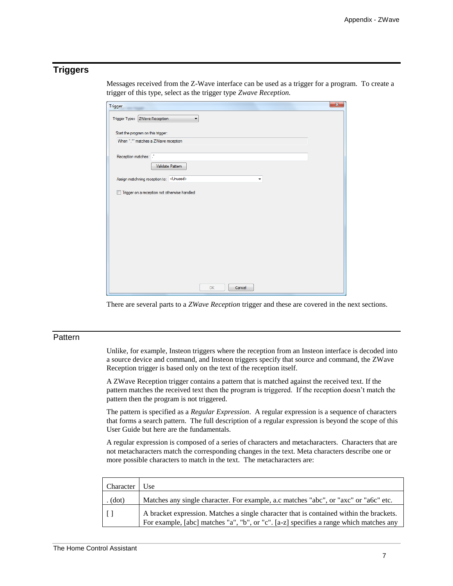## **Triggers**

Messages received from the Z-Wave interface can be used as a trigger for a program. To create a trigger of this type, select as the trigger type *Zwave Reception.*

| $\mathbf{x}$<br><b>Trigger</b>                |
|-----------------------------------------------|
| Trigger Type: ZWave Reception<br>۰            |
| Start the program on this trigger:            |
| When ".*" matches a ZWave reception           |
| Reception matches:<br>Validate Pattern        |
| Assign matchning reception to: < Unused><br>٠ |
| Trigger on a reception not otherwise handled  |
|                                               |
|                                               |
|                                               |
|                                               |
|                                               |
|                                               |
|                                               |
| Cancel<br>OK                                  |

There are several parts to a *ZWave Reception* trigger and these are covered in the next sections.

### **Pattern**

Unlike, for example, Insteon triggers where the reception from an Insteon interface is decoded into a source device and command, and Insteon triggers specify that source and command, the ZWave Reception trigger is based only on the text of the reception itself.

A ZWave Reception trigger contains a pattern that is matched against the received text. If the pattern matches the received text then the program is triggered. If the reception doesn't match the pattern then the program is not triggered.

The pattern is specified as a *Regular Expression*. A regular expression is a sequence of characters that forms a search pattern. The full description of a regular expression is beyond the scope of this User Guide but here are the fundamentals.

A regular expression is composed of a series of characters and metacharacters. Characters that are not metacharacters match the corresponding changes in the text. Meta characters describe one or more possible characters to match in the text. The metacharacters are:

| Character | : Ise                                                                                                                                                                             |
|-----------|-----------------------------------------------------------------------------------------------------------------------------------------------------------------------------------|
| . (dot)   | Matches any single character. For example, a.c matches "abc", or "axc" or "a6c" etc.                                                                                              |
|           | A bracket expression. Matches a single character that is contained within the brackets.<br>For example, [abc] matches "a", "b", or "c". [a-z] specifies a range which matches any |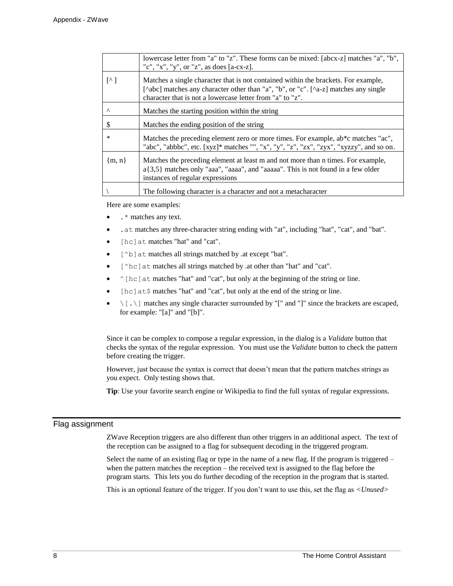|                         | lowercase letter from "a" to "z". These forms can be mixed: [abcx-z] matches "a", "b",<br>"c", "x", "y", or "z", as does [a-cx-z].                                                                                                     |
|-------------------------|----------------------------------------------------------------------------------------------------------------------------------------------------------------------------------------------------------------------------------------|
| $\lceil$ <sup>A</sup> ] | Matches a single character that is not contained within the brackets. For example,<br>[^abc] matches any character other than "a", "b", or "c". [^a-z] matches any single<br>character that is not a lowercase letter from "a" to "z". |
| $\wedge$                | Matches the starting position within the string                                                                                                                                                                                        |
| \$                      | Matches the ending position of the string                                                                                                                                                                                              |
| $\ast$                  | Matches the preceding element zero or more times. For example, ab*c matches "ac",<br>"abc", "abbbc", etc. [xyz]* matches "", "x", "y", "z", "zx", "zyx", "xyzzy", and so on.                                                           |
| ${m, n}$                | Matches the preceding element at least m and not more than n times. For example,<br>$a\{3,5\}$ matches only "aaa", "aaaa", and "aaaaa". This is not found in a few older<br>instances of regular expressions                           |
|                         | The following character is a character and not a metacharacter                                                                                                                                                                         |

Here are some examples:

- $\cdot$  \* matches any text.
- .at matches any three-character string ending with "at", including "hat", "cat", and "bat".
- [hc] at matches "hat" and "cat".
- [^b]at matches all strings matched by .at except "bat".
- [^hc]at matches all strings matched by .at other than "hat" and "cat".
- $\wedge$  [hc] at matches "hat" and "cat", but only at the beginning of the string or line.
- [hc]at\$ matches "hat" and "cat", but only at the end of the string or line.
- $\setminus$  [...] matches any single character surrounded by "[" and "]" since the brackets are escaped, for example: "[a]" and "[b]".

Since it can be complex to compose a regular expression, in the dialog is a *Validate* button that checks the syntax of the regular expression. You must use the *Validate* button to check the pattern before creating the trigger.

However, just because the syntax is correct that doesn't mean that the pattern matches strings as you expect. Only testing shows that.

**Tip**: Use your favorite search engine or Wikipedia to find the full syntax of regular expressions.

#### Flag assignment

ZWave Reception triggers are also different than other triggers in an additional aspect. The text of the reception can be assigned to a flag for subsequent decoding in the triggered program.

Select the name of an existing flag or type in the name of a new flag. If the program is triggered – when the pattern matches the reception – the received text is assigned to the flag before the program starts. This lets you do further decoding of the reception in the program that is started.

This is an optional feature of the trigger. If you don't want to use this, set the flag as *<Unused>*